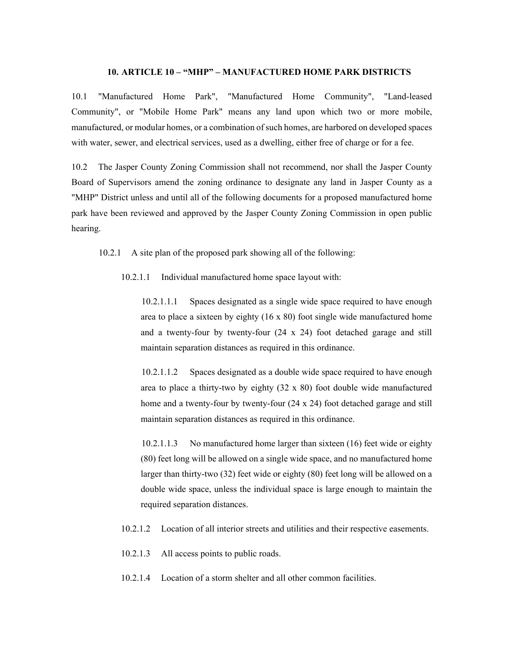## **10. ARTICLE 10 – "MHP" – MANUFACTURED HOME PARK DISTRICTS**

10.1 "Manufactured Home Park", "Manufactured Home Community", "Land-leased Community", or "Mobile Home Park" means any land upon which two or more mobile, manufactured, or modular homes, or a combination of such homes, are harbored on developed spaces with water, sewer, and electrical services, used as a dwelling, either free of charge or for a fee.

10.2 The Jasper County Zoning Commission shall not recommend, nor shall the Jasper County Board of Supervisors amend the zoning ordinance to designate any land in Jasper County as a "MHP" District unless and until all of the following documents for a proposed manufactured home park have been reviewed and approved by the Jasper County Zoning Commission in open public hearing.

10.2.1 A site plan of the proposed park showing all of the following:

10.2.1.1 Individual manufactured home space layout with:

10.2.1.1.1 Spaces designated as a single wide space required to have enough area to place a sixteen by eighty (16 x 80) foot single wide manufactured home and a twenty-four by twenty-four (24 x 24) foot detached garage and still maintain separation distances as required in this ordinance.

10.2.1.1.2 Spaces designated as a double wide space required to have enough area to place a thirty-two by eighty (32 x 80) foot double wide manufactured home and a twenty-four by twenty-four (24 x 24) foot detached garage and still maintain separation distances as required in this ordinance.

10.2.1.1.3 No manufactured home larger than sixteen (16) feet wide or eighty (80) feet long will be allowed on a single wide space, and no manufactured home larger than thirty-two (32) feet wide or eighty (80) feet long will be allowed on a double wide space, unless the individual space is large enough to maintain the required separation distances.

- 10.2.1.2 Location of all interior streets and utilities and their respective easements.
- 10.2.1.3 All access points to public roads.
- 10.2.1.4 Location of a storm shelter and all other common facilities.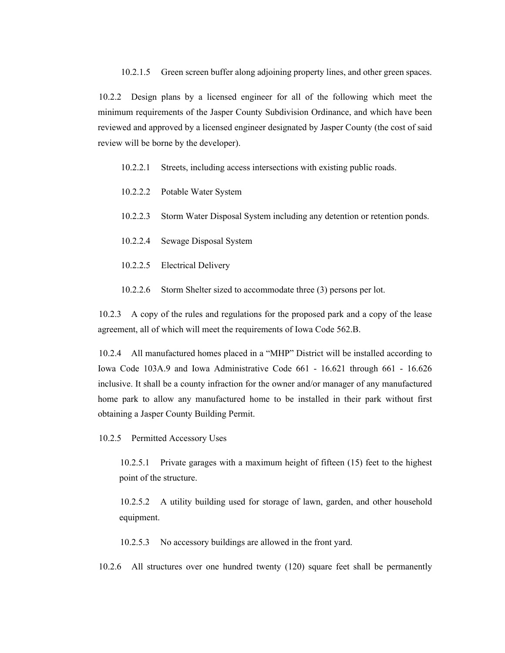10.2.1.5 Green screen buffer along adjoining property lines, and other green spaces.

10.2.2 Design plans by a licensed engineer for all of the following which meet the minimum requirements of the Jasper County Subdivision Ordinance, and which have been reviewed and approved by a licensed engineer designated by Jasper County (the cost of said review will be borne by the developer).

10.2.2.1 Streets, including access intersections with existing public roads.

- 10.2.2.2 Potable Water System
- 10.2.2.3 Storm Water Disposal System including any detention or retention ponds.
- 10.2.2.4 Sewage Disposal System
- 10.2.2.5 Electrical Delivery
- 10.2.2.6 Storm Shelter sized to accommodate three (3) persons per lot.

10.2.3 A copy of the rules and regulations for the proposed park and a copy of the lease agreement, all of which will meet the requirements of Iowa Code 562.B.

10.2.4 All manufactured homes placed in a "MHP" District will be installed according to Iowa Code 103A.9 and Iowa Administrative Code 661 - 16.621 through 661 - 16.626 inclusive. It shall be a county infraction for the owner and/or manager of any manufactured home park to allow any manufactured home to be installed in their park without first obtaining a Jasper County Building Permit.

10.2.5 Permitted Accessory Uses

10.2.5.1 Private garages with a maximum height of fifteen (15) feet to the highest point of the structure.

10.2.5.2 A utility building used for storage of lawn, garden, and other household equipment.

10.2.5.3 No accessory buildings are allowed in the front yard.

10.2.6 All structures over one hundred twenty (120) square feet shall be permanently